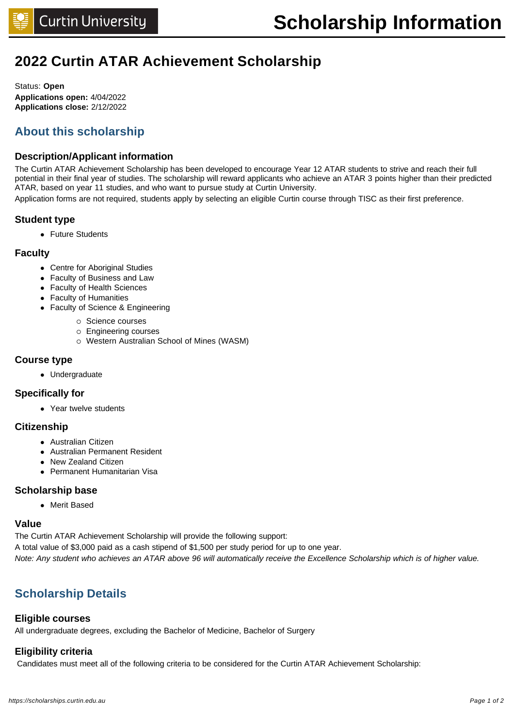# **2022 Curtin ATAR Achievement Scholarship**

Status: **Open Applications open:** 4/04/2022 **Applications close:** 2/12/2022

# **About this scholarship**

# **Description/Applicant information**

The Curtin ATAR Achievement Scholarship has been developed to encourage Year 12 ATAR students to strive and reach their full potential in their final year of studies. The scholarship will reward applicants who achieve an ATAR 3 points higher than their predicted ATAR, based on year 11 studies, and who want to pursue study at Curtin University.

Application forms are not required, students apply by selecting an eligible Curtin course through TISC as their first preference.

# **Student type**

• Future Students

# **Faculty**

- Centre for Aboriginal Studies
- Faculty of Business and Law
- Faculty of Health Sciences
- Faculty of Humanities
- Faculty of Science & Engineering
	- o Science courses
	- o Engineering courses
	- o Western Australian School of Mines (WASM)

# **Course type**

• Undergraduate

## **Specifically for**

• Year twelve students

## **Citizenship**

- **•** Australian Citizen
- Australian Permanent Resident
- New Zealand Citizen
- Permanent Humanitarian Visa

# **Scholarship base**

• Merit Based

## **Value**

The Curtin ATAR Achievement Scholarship will provide the following support: A total value of \$3,000 paid as a cash stipend of \$1,500 per study period for up to one year. Note: Any student who achieves an ATAR above 96 will automatically receive the Excellence Scholarship which is of higher value.

# **Scholarship Details**

# **Eligible courses**

All undergraduate degrees, excluding the Bachelor of Medicine, Bachelor of Surgery

# **Eligibility criteria**

Candidates must meet all of the following criteria to be considered for the Curtin ATAR Achievement Scholarship: